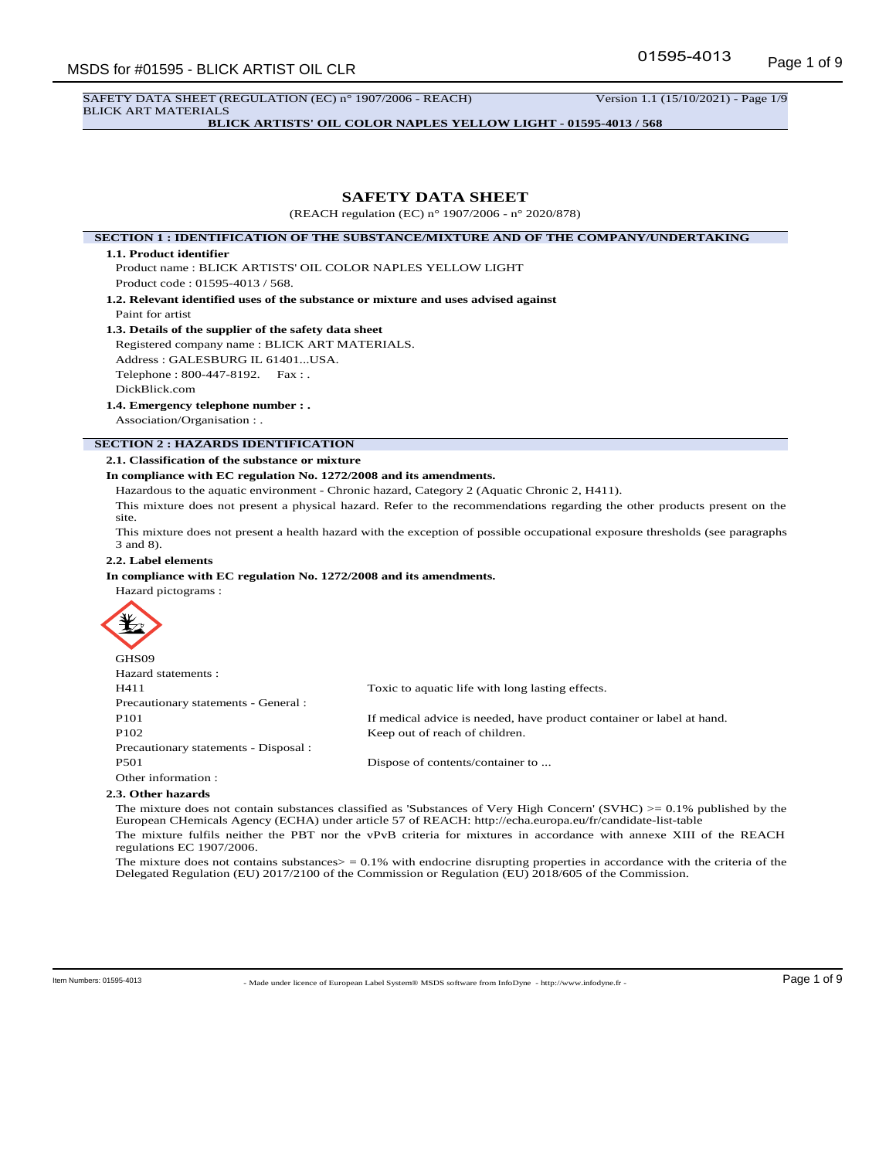SAFETY DATA SHEET (REGULATION (EC) n° 1907/2006 - REACH) Version 1.1 (15/10/2021) - Page 1/9 BLICK ART MATERIALS

**BLICK ARTISTS' OIL COLOR NAPLES YELLOW LIGHT - 01595-4013 / 568**

# **SAFETY DATA SHEET**

(REACH regulation (EC) n° 1907/2006 - n° 2020/878)

**SECTION 1 : IDENTIFICATION OF THE SUBSTANCE/MIXTURE AND OF THE COMPANY/UNDERTAKING**

#### **1.1. Product identifier**

Product name : BLICK ARTISTS' OIL COLOR NAPLES YELLOW LIGHT Product code : 01595-4013 / 568.

**1.2. Relevant identified uses of the substance or mixture and uses advised against** Paint for artist

# **1.3. Details of the supplier of the safety data sheet**

Registered company name : BLICK ART MATERIALS. Address : GALESBURG IL 61401...USA. Telephone : 800-447-8192. Fax : .

DickBlick.com

#### **1.4. Emergency telephone number : .**

Association/Organisation : .

# **SECTION 2 : HAZARDS IDENTIFICATION**

## **2.1. Classification of the substance or mixture**

# **In compliance with EC regulation No. 1272/2008 and its amendments.**

Hazardous to the aquatic environment - Chronic hazard, Category 2 (Aquatic Chronic 2, H411).

This mixture does not present a physical hazard. Refer to the recommendations regarding the other products present on the site.

This mixture does not present a health hazard with the exception of possible occupational exposure thresholds (see paragraphs 3 and 8).

## **2.2. Label elements**

#### **In compliance with EC regulation No. 1272/2008 and its amendments.**

Hazard pictograms :



| GHS09                                 |                                                                       |
|---------------------------------------|-----------------------------------------------------------------------|
| Hazard statements :                   |                                                                       |
| H411                                  | Toxic to aquatic life with long lasting effects.                      |
| Precautionary statements - General :  |                                                                       |
| P <sub>101</sub>                      | If medical advice is needed, have product container or label at hand. |
| P <sub>102</sub>                      | Keep out of reach of children.                                        |
| Precautionary statements - Disposal : |                                                                       |
| <b>P501</b>                           | Dispose of contents/container to                                      |
| Other information:                    |                                                                       |
| 2.3. Other hazards                    |                                                                       |

The mixture does not contain substances classified as 'Substances of Very High Concern' (SVHC)  $> = 0.1\%$  published by the European CHemicals Agency (ECHA) under article 57 of REACH: http://echa.europa.eu/fr/candidate-list-table The mixture fulfils neither the PBT nor the vPvB criteria for mixtures in accordance with annexe XIII of the REACH regulations EC 1907/2006.

The mixture does not contains substances $>$  = 0.1% with endocrine disrupting properties in accordance with the criteria of the Delegated Regulation (EU) 2017/2100 of the Commission or Regulation (EU) 2018/605 of the Commission.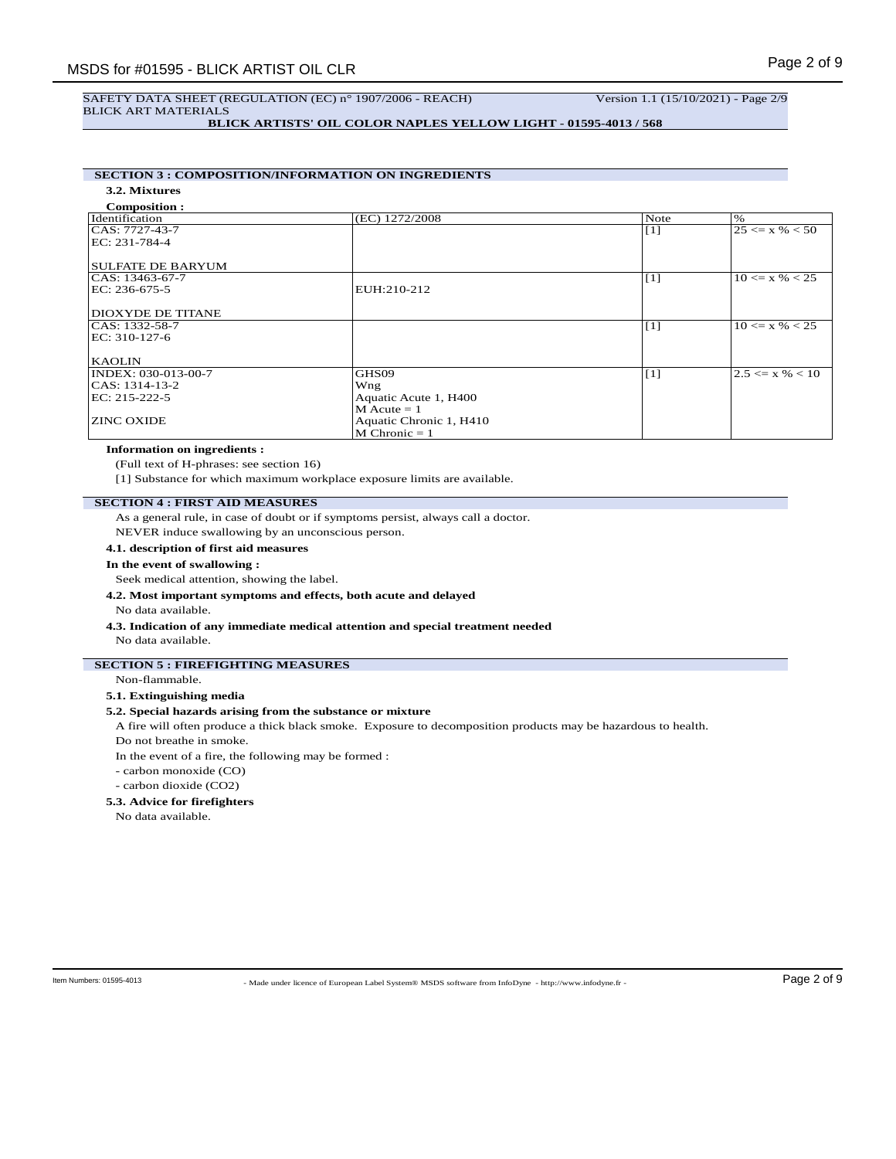# SAFETY DATA SHEET (REGULATION (EC) n° 1907/2006 - REACH) Version 1.1 (15/10/2021) - Page 2/9 BLICK ART MATERIALS

**BLICK ARTISTS' OIL COLOR NAPLES YELLOW LIGHT - 01595-4013 / 568**

# **SECTION 3 : COMPOSITION/INFORMATION ON INGREDIENTS**

# **3.2. Mixtures**

| <b>Composition:</b>      |                         |                   |                     |
|--------------------------|-------------------------|-------------------|---------------------|
| Identification           | (EC) 1272/2008          | Note              | $\%$                |
| CAS: 7727-43-7           |                         | $\lceil 1 \rceil$ | $25 \le x \% < 50$  |
| EC: 231-784-4            |                         |                   |                     |
|                          |                         |                   |                     |
| <b>SULFATE DE BARYUM</b> |                         |                   |                     |
| CAS: 13463-67-7          |                         | $\lceil 1 \rceil$ | $10 \le x \% < 25$  |
| EC: 236-675-5            | EUH:210-212             |                   |                     |
| <b>DIOXYDE DE TITANE</b> |                         |                   |                     |
| CAS: 1332-58-7           |                         | $\lceil 1 \rceil$ | $10 \le x \% < 25$  |
| EC: 310-127-6            |                         |                   |                     |
|                          |                         |                   |                     |
| <b>KAOLIN</b>            |                         |                   |                     |
| INDEX: 030-013-00-7      | GHS09                   | [1]               | $2.5 \le x \% < 10$ |
| CAS: 1314-13-2           | Wng                     |                   |                     |
| EC: 215-222-5            | Aquatic Acute 1, H400   |                   |                     |
|                          | $M$ Acute = 1           |                   |                     |
| <b>ZINC OXIDE</b>        | Aquatic Chronic 1, H410 |                   |                     |
|                          | $M$ Chronic = 1         |                   |                     |

# **Information on ingredients :**

(Full text of H-phrases: see section 16)

[1] Substance for which maximum workplace exposure limits are available.

## **SECTION 4 : FIRST AID MEASURES**

As a general rule, in case of doubt or if symptoms persist, always call a doctor.

NEVER induce swallowing by an unconscious person.

**4.1. description of first aid measures**

#### **In the event of swallowing :**

Seek medical attention, showing the label.

## **4.2. Most important symptoms and effects, both acute and delayed**

No data available.

# **4.3. Indication of any immediate medical attention and special treatment needed**

No data available.

## **SECTION 5 : FIREFIGHTING MEASURES**

## Non-flammable.

# **5.1. Extinguishing media**

## **5.2. Special hazards arising from the substance or mixture**

A fire will often produce a thick black smoke. Exposure to decomposition products may be hazardous to health. Do not breathe in smoke.

In the event of a fire, the following may be formed :

- carbon monoxide (CO)
- carbon dioxide (CO2)

#### **5.3. Advice for firefighters**

No data available.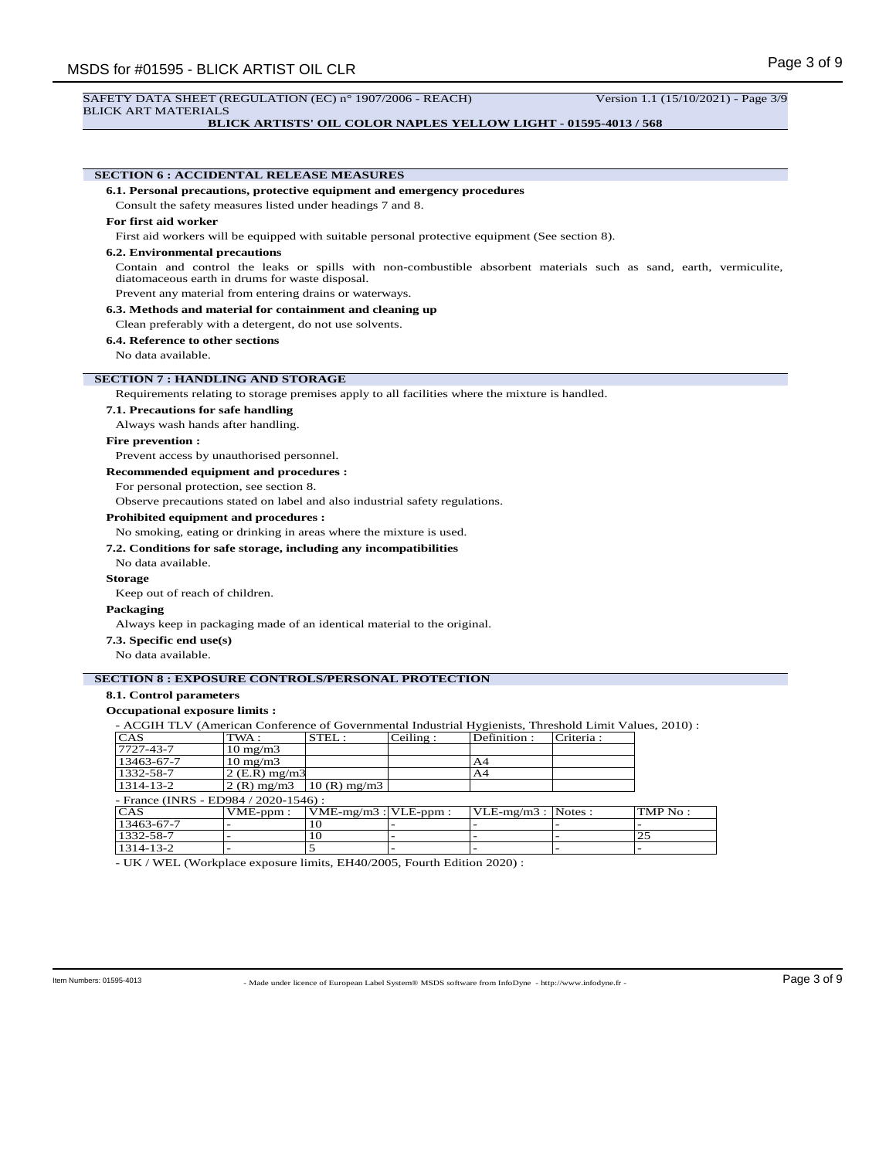# **BLICK ARTISTS' OIL COLOR NAPLES YELLOW LIGHT - 01595-4013 / 568**

|                                       | <b>SECTION 6: ACCIDENTAL RELEASE MEASURES</b>                                                           |                           |          |               |           |                                                                                                                    |
|---------------------------------------|---------------------------------------------------------------------------------------------------------|---------------------------|----------|---------------|-----------|--------------------------------------------------------------------------------------------------------------------|
|                                       | 6.1. Personal precautions, protective equipment and emergency procedures                                |                           |          |               |           |                                                                                                                    |
|                                       | Consult the safety measures listed under headings 7 and 8.                                              |                           |          |               |           |                                                                                                                    |
| For first aid worker                  |                                                                                                         |                           |          |               |           |                                                                                                                    |
|                                       | First aid workers will be equipped with suitable personal protective equipment (See section 8).         |                           |          |               |           |                                                                                                                    |
| <b>6.2. Environmental precautions</b> |                                                                                                         |                           |          |               |           |                                                                                                                    |
|                                       | diatomaceous earth in drums for waste disposal.                                                         |                           |          |               |           | Contain and control the leaks or spills with non-combustible absorbent materials such as sand, earth, vermiculite, |
|                                       | Prevent any material from entering drains or waterways.                                                 |                           |          |               |           |                                                                                                                    |
|                                       | 6.3. Methods and material for containment and cleaning up                                               |                           |          |               |           |                                                                                                                    |
|                                       | Clean preferably with a detergent, do not use solvents.                                                 |                           |          |               |           |                                                                                                                    |
| 6.4. Reference to other sections      |                                                                                                         |                           |          |               |           |                                                                                                                    |
| No data available.                    |                                                                                                         |                           |          |               |           |                                                                                                                    |
|                                       |                                                                                                         |                           |          |               |           |                                                                                                                    |
|                                       | <b>SECTION 7: HANDLING AND STORAGE</b>                                                                  |                           |          |               |           |                                                                                                                    |
|                                       | Requirements relating to storage premises apply to all facilities where the mixture is handled.         |                           |          |               |           |                                                                                                                    |
| 7.1. Precautions for safe handling    |                                                                                                         |                           |          |               |           |                                                                                                                    |
|                                       | Always wash hands after handling.                                                                       |                           |          |               |           |                                                                                                                    |
| <b>Fire prevention:</b>               |                                                                                                         |                           |          |               |           |                                                                                                                    |
|                                       | Prevent access by unauthorised personnel.                                                               |                           |          |               |           |                                                                                                                    |
|                                       | <b>Recommended equipment and procedures :</b>                                                           |                           |          |               |           |                                                                                                                    |
|                                       | For personal protection, see section 8.                                                                 |                           |          |               |           |                                                                                                                    |
|                                       | Observe precautions stated on label and also industrial safety regulations.                             |                           |          |               |           |                                                                                                                    |
|                                       |                                                                                                         |                           |          |               |           |                                                                                                                    |
|                                       | <b>Prohibited equipment and procedures:</b>                                                             |                           |          |               |           |                                                                                                                    |
|                                       | No smoking, eating or drinking in areas where the mixture is used.                                      |                           |          |               |           |                                                                                                                    |
|                                       | 7.2. Conditions for safe storage, including any incompatibilities                                       |                           |          |               |           |                                                                                                                    |
| No data available.                    |                                                                                                         |                           |          |               |           |                                                                                                                    |
| <b>Storage</b>                        |                                                                                                         |                           |          |               |           |                                                                                                                    |
| Keep out of reach of children.        |                                                                                                         |                           |          |               |           |                                                                                                                    |
| Packaging                             |                                                                                                         |                           |          |               |           |                                                                                                                    |
|                                       | Always keep in packaging made of an identical material to the original.                                 |                           |          |               |           |                                                                                                                    |
| 7.3. Specific end use(s)              |                                                                                                         |                           |          |               |           |                                                                                                                    |
| No data available.                    |                                                                                                         |                           |          |               |           |                                                                                                                    |
|                                       |                                                                                                         |                           |          |               |           |                                                                                                                    |
|                                       | <b>SECTION 8 : EXPOSURE CONTROLS/PERSONAL PROTECTION</b>                                                |                           |          |               |           |                                                                                                                    |
| 8.1. Control parameters               |                                                                                                         |                           |          |               |           |                                                                                                                    |
| Occupational exposure limits :        |                                                                                                         |                           |          |               |           |                                                                                                                    |
|                                       | - ACGIH TLV (American Conference of Governmental Industrial Hygienists, Threshold Limit Values, 2010) : |                           |          |               |           |                                                                                                                    |
| <b>CAS</b>                            | TWA:                                                                                                    | STEL:                     | Ceiling: | Definition:   | Criteria: |                                                                                                                    |
| 7727-43-7                             | $10 \text{ mg/m}$                                                                                       |                           |          |               |           |                                                                                                                    |
| 13463-67-7<br>1332-58-7               | $10 \text{ mg/m}$<br>$2$ (E.R) mg/m3                                                                    |                           |          | A4<br>A4      |           |                                                                                                                    |
| 1314-13-2                             | $2(R)$ mg/m $3$                                                                                         | $10(R)$ mg/m $3$          |          |               |           |                                                                                                                    |
|                                       | - France (INRS - ED984 / 2020-1546) :                                                                   |                           |          |               |           |                                                                                                                    |
| CAS                                   | VME-ppm:                                                                                                | $VME-mg/m3$ : $VLE-ppm$ : |          | $VLE-mg/m3$ : | Notes:    | TMP No :                                                                                                           |
|                                       |                                                                                                         | 10                        |          |               |           |                                                                                                                    |
| 13463-67-7                            |                                                                                                         |                           |          |               |           |                                                                                                                    |
| 1332-58-7<br>1314-13-2                |                                                                                                         | 10<br>5                   |          |               |           | $\overline{25}$                                                                                                    |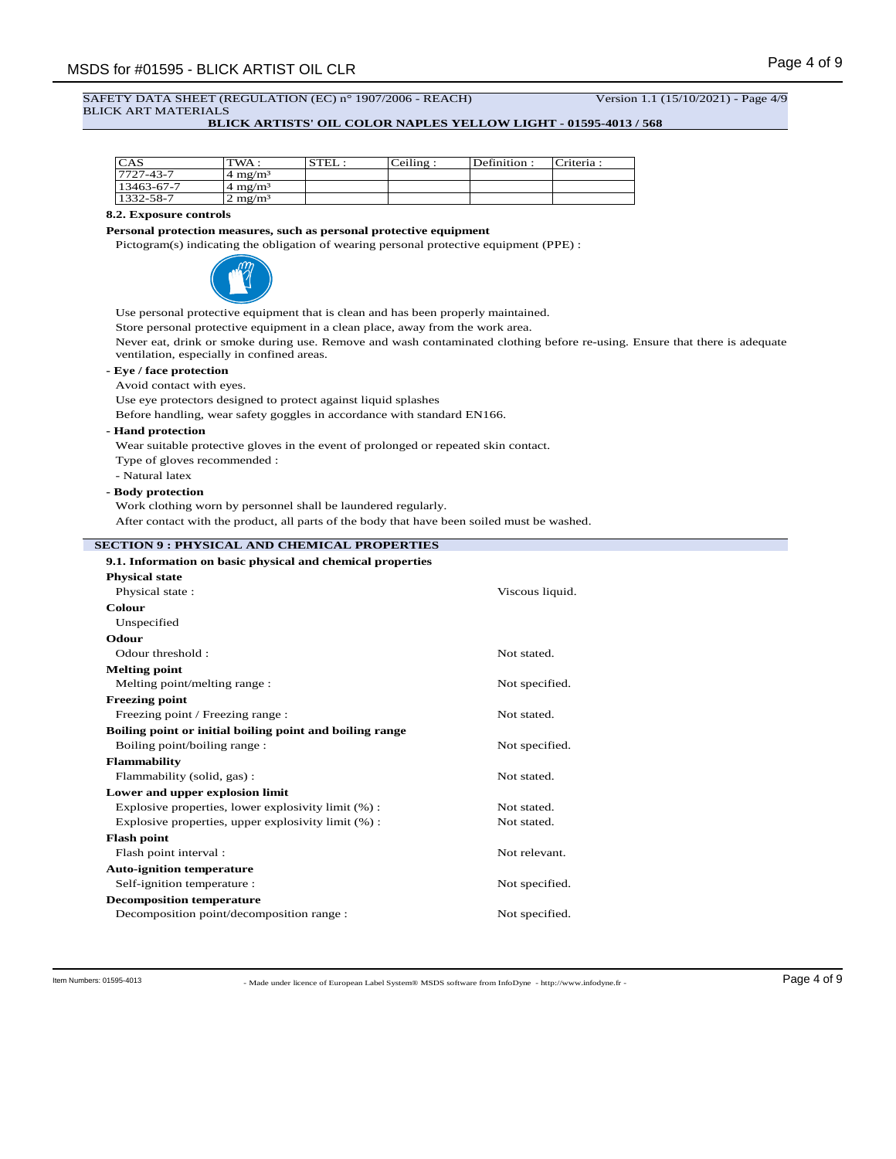# SAFETY DATA SHEET (REGULATION (EC) n° 1907/2006 - REACH) Version 1.1 (15/10/2021) - Page 4/9 BLICK ART MATERIALS

# **BLICK ARTISTS' OIL COLOR NAPLES YELLOW LIGHT - 01595-4013 / 568**

| CAS        | TWA:                                                            | STEL: | Ceiling | Definition: | Criteria: |
|------------|-----------------------------------------------------------------|-------|---------|-------------|-----------|
| 7727-43-7  | $\frac{4 \text{ m} \cdot \text{s}}{4 \text{ m} \cdot \text{s}}$ |       |         |             |           |
| 13463-67-7 | $\approx 4 \text{ m} \text{g} / \text{m}^3$                     |       |         |             |           |
| 1332-58-7  | $2 \text{ mg/m}^3$                                              |       |         |             |           |

# **8.2. Exposure controls**

## **Personal protection measures, such as personal protective equipment**

Pictogram(s) indicating the obligation of wearing personal protective equipment (PPE) :



Use personal protective equipment that is clean and has been properly maintained.

Store personal protective equipment in a clean place, away from the work area.

Never eat, drink or smoke during use. Remove and wash contaminated clothing before re-using. Ensure that there is adequate ventilation, especially in confined areas.

# **- Eye / face protection**

Avoid contact with eyes.

Use eye protectors designed to protect against liquid splashes

Before handling, wear safety goggles in accordance with standard EN166.

**- Hand protection**

Wear suitable protective gloves in the event of prolonged or repeated skin contact.

- Type of gloves recommended :
- Natural latex

# **- Body protection**

Work clothing worn by personnel shall be laundered regularly.

After contact with the product, all parts of the body that have been soiled must be washed.

# **SECTION 9 : PHYSICAL AND CHEMICAL PROPERTIES**

| 9.1. Information on basic physical and chemical properties |                 |
|------------------------------------------------------------|-----------------|
| <b>Physical state</b>                                      |                 |
| Physical state:                                            | Viscous liquid. |
| Colour                                                     |                 |
| Unspecified                                                |                 |
| Odour                                                      |                 |
| Odour threshold:                                           | Not stated.     |
| <b>Melting point</b>                                       |                 |
| Melting point/melting range:                               | Not specified.  |
| <b>Freezing point</b>                                      |                 |
| Freezing point / Freezing range :                          | Not stated.     |
|                                                            |                 |
| Boiling point or initial boiling point and boiling range   |                 |
| Boiling point/boiling range:                               | Not specified.  |
| Flammability                                               |                 |
| Flammability (solid, gas):                                 | Not stated.     |
| Lower and upper explosion limit                            |                 |
| Explosive properties, lower explosivity limit (%):         | Not stated.     |
| Explosive properties, upper explosivity limit $(\%)$ :     | Not stated.     |
| <b>Flash point</b>                                         |                 |
| Flash point interval:                                      | Not relevant.   |
| <b>Auto-ignition temperature</b>                           |                 |
| Self-ignition temperature :                                | Not specified.  |
| <b>Decomposition temperature</b>                           |                 |
| Decomposition point/decomposition range :                  | Not specified.  |

- Made under licence of European Label System® MSDS software from InfoDyne - http://www.infodyne.fr - Item Numbers: 01595-4013 Page 4 of 9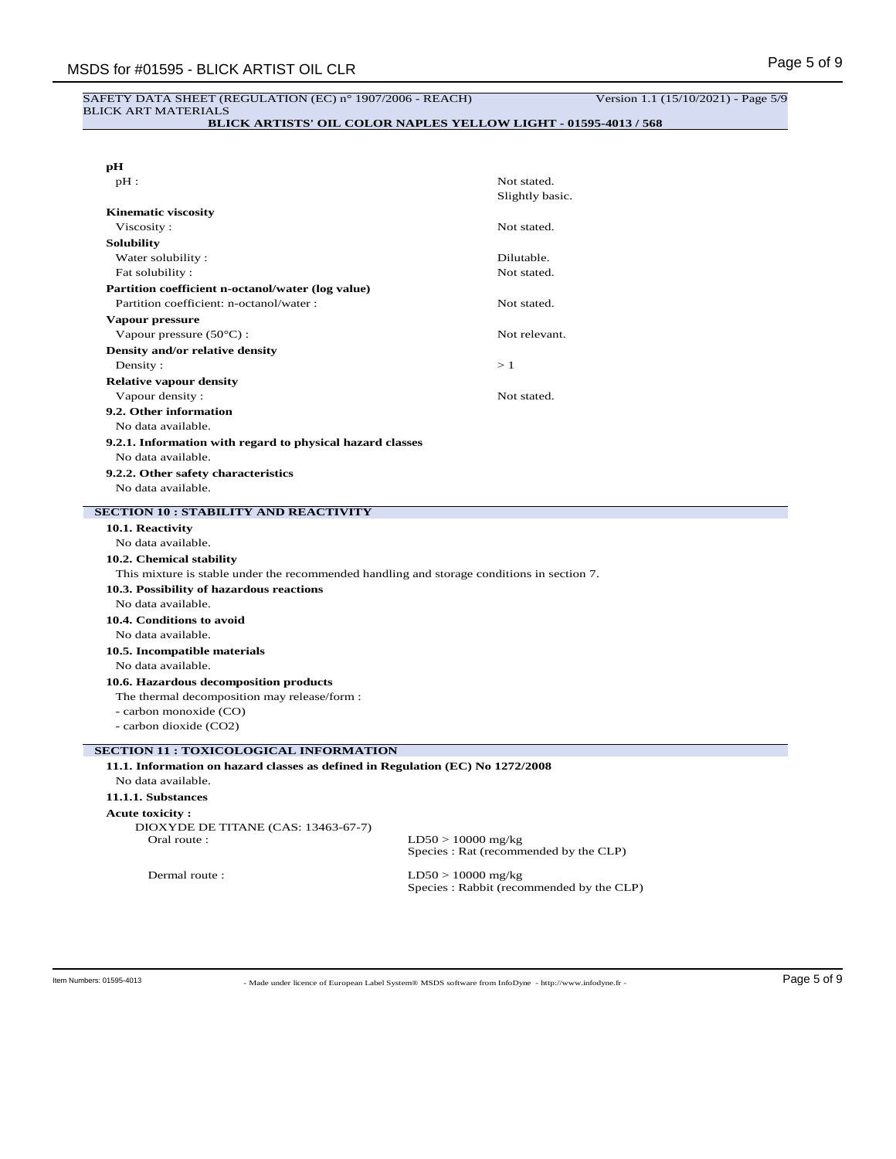## SAFETY DATA SHEET (REGULATION (EC) n° 1907/2006 - REACH) Version 1.1 (15/10/2021) - Page 5/9 BLICK ART MATERIALS

**BLICK ARTISTS' OIL COLOR NAPLES YELLOW LIGHT - 01595-4013 / 568**

| pН<br>$pH$ :                                                                               | Not stated.                                                    |
|--------------------------------------------------------------------------------------------|----------------------------------------------------------------|
|                                                                                            | Slightly basic.                                                |
|                                                                                            |                                                                |
| <b>Kinematic viscosity</b><br>Viscosity:                                                   | Not stated.                                                    |
|                                                                                            |                                                                |
| <b>Solubility</b>                                                                          |                                                                |
| Water solubility:                                                                          | Dilutable.                                                     |
| Fat solubility:                                                                            | Not stated.                                                    |
| Partition coefficient n-octanol/water (log value)                                          |                                                                |
| Partition coefficient: n-octanol/water :                                                   | Not stated.                                                    |
| Vapour pressure                                                                            |                                                                |
| Vapour pressure (50°C) :                                                                   | Not relevant.                                                  |
| Density and/or relative density                                                            |                                                                |
| Density:                                                                                   | >1                                                             |
| <b>Relative vapour density</b>                                                             |                                                                |
| Vapour density:                                                                            | Not stated.                                                    |
| 9.2. Other information                                                                     |                                                                |
| No data available.                                                                         |                                                                |
| 9.2.1. Information with regard to physical hazard classes                                  |                                                                |
| No data available.                                                                         |                                                                |
| 9.2.2. Other safety characteristics                                                        |                                                                |
| No data available.                                                                         |                                                                |
| <b>SECTION 10 : STABILITY AND REACTIVITY</b>                                               |                                                                |
| 10.1. Reactivity                                                                           |                                                                |
| No data available.                                                                         |                                                                |
| 10.2. Chemical stability                                                                   |                                                                |
| This mixture is stable under the recommended handling and storage conditions in section 7. |                                                                |
| 10.3. Possibility of hazardous reactions                                                   |                                                                |
| No data available.                                                                         |                                                                |
| 10.4. Conditions to avoid                                                                  |                                                                |
| No data available.                                                                         |                                                                |
| 10.5. Incompatible materials                                                               |                                                                |
| No data available.                                                                         |                                                                |
|                                                                                            |                                                                |
| 10.6. Hazardous decomposition products                                                     |                                                                |
|                                                                                            |                                                                |
| The thermal decomposition may release/form :                                               |                                                                |
| - carbon monoxide (CO)                                                                     |                                                                |
| - carbon dioxide (CO2)                                                                     |                                                                |
| <b>SECTION 11 : TOXICOLOGICAL INFORMATION</b>                                              |                                                                |
| 11.1. Information on hazard classes as defined in Regulation (EC) No 1272/2008             |                                                                |
| No data available.                                                                         |                                                                |
| 11.1.1. Substances                                                                         |                                                                |
| <b>Acute toxicity:</b>                                                                     |                                                                |
| DIOXYDE DE TITANE (CAS: 13463-67-7)                                                        |                                                                |
| Oral route:                                                                                | $LD50 > 10000$ mg/kg<br>Species : Rat (recommended by the CLP) |

- Made under licence of European Label System® MSDS software from InfoDyne - http://www.infodyne.fr - Item Numbers: 01595-4013 Page 5 of 9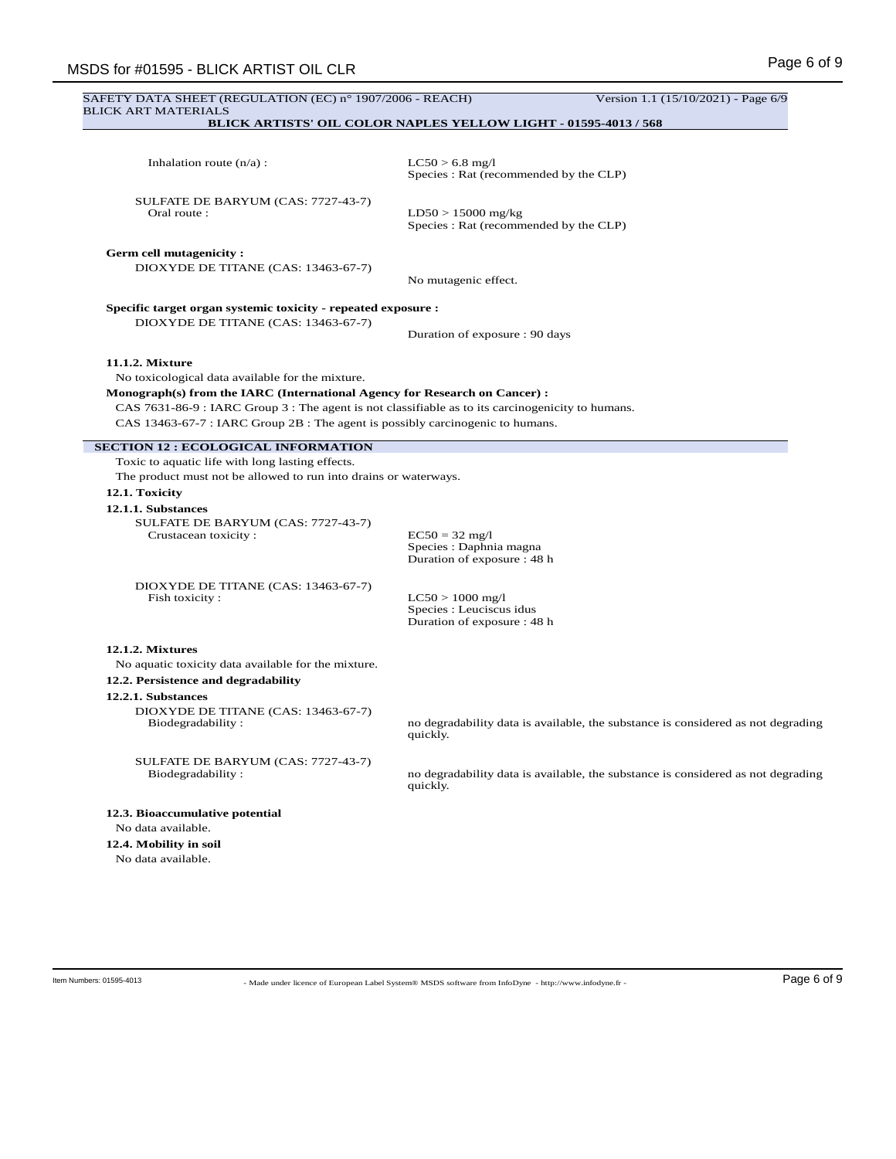| <b>BLICK ART MATERIALS</b>                                                                                                                                                                                                                                                                                                               | SAFETY DATA SHEET (REGULATION (EC) n° 1907/2006 - REACH)                     | Version 1.1 (15/10/2021) - Page 6/9                                                                                                                                  |
|------------------------------------------------------------------------------------------------------------------------------------------------------------------------------------------------------------------------------------------------------------------------------------------------------------------------------------------|------------------------------------------------------------------------------|----------------------------------------------------------------------------------------------------------------------------------------------------------------------|
| <b>BLICK ARTISTS' OIL COLOR NAPLES YELLOW LIGHT - 01595-4013 / 568</b>                                                                                                                                                                                                                                                                   |                                                                              |                                                                                                                                                                      |
|                                                                                                                                                                                                                                                                                                                                          |                                                                              |                                                                                                                                                                      |
| Inhalation route $(n/a)$ :                                                                                                                                                                                                                                                                                                               | $LC50 > 6.8$ mg/l<br>Species : Rat (recommended by the CLP)                  |                                                                                                                                                                      |
| SULFATE DE BARYUM (CAS: 7727-43-7)<br>Oral route:                                                                                                                                                                                                                                                                                        | $LD50 > 15000$ mg/kg<br>Species : Rat (recommended by the CLP)               |                                                                                                                                                                      |
| <b>Germ cell mutagenicity:</b><br>DIOXYDE DE TITANE (CAS: 13463-67-7)                                                                                                                                                                                                                                                                    | No mutagenic effect.                                                         |                                                                                                                                                                      |
| Specific target organ systemic toxicity - repeated exposure :                                                                                                                                                                                                                                                                            |                                                                              |                                                                                                                                                                      |
| DIOXYDE DE TITANE (CAS: 13463-67-7)                                                                                                                                                                                                                                                                                                      | Duration of exposure : 90 days                                               |                                                                                                                                                                      |
| 11.1.2. Mixture<br>No toxicological data available for the mixture.<br>Monograph(s) from the IARC (International Agency for Research on Cancer) :<br>CAS 7631-86-9 : IARC Group 3 : The agent is not classifiable as to its carcinogenicity to humans.<br>CAS 13463-67-7 : IARC Group 2B : The agent is possibly carcinogenic to humans. |                                                                              |                                                                                                                                                                      |
| <b>SECTION 12 : ECOLOGICAL INFORMATION</b>                                                                                                                                                                                                                                                                                               |                                                                              |                                                                                                                                                                      |
| Toxic to aquatic life with long lasting effects.                                                                                                                                                                                                                                                                                         |                                                                              |                                                                                                                                                                      |
| The product must not be allowed to run into drains or waterways.                                                                                                                                                                                                                                                                         |                                                                              |                                                                                                                                                                      |
| 12.1. Toxicity<br>12.1.1. Substances<br>SULFATE DE BARYUM (CAS: 7727-43-7)<br>Crustacean toxicity:                                                                                                                                                                                                                                       | $EC50 = 32$ mg/l<br>Species : Daphnia magna<br>Duration of exposure : 48 h   |                                                                                                                                                                      |
| DIOXYDE DE TITANE (CAS: 13463-67-7)<br>Fish toxicity:                                                                                                                                                                                                                                                                                    | $LC50 > 1000$ mg/l<br>Species : Leuciscus idus<br>Duration of exposure: 48 h |                                                                                                                                                                      |
| 12.1.2. Mixtures<br>No aquatic toxicity data available for the mixture.                                                                                                                                                                                                                                                                  |                                                                              |                                                                                                                                                                      |
| 12.2. Persistence and degradability                                                                                                                                                                                                                                                                                                      |                                                                              |                                                                                                                                                                      |
| 12.2.1. Substances<br>DIOXYDE DE TITANE (CAS: 13463-67-7)<br>Biodegradability:                                                                                                                                                                                                                                                           | quickly.                                                                     |                                                                                                                                                                      |
| SULFATE DE BARYUM (CAS: 7727-43-7)<br>Biodegradability:                                                                                                                                                                                                                                                                                  | quickly.                                                                     |                                                                                                                                                                      |
| 12.3. Bioaccumulative potential<br>No data available.                                                                                                                                                                                                                                                                                    |                                                                              | no degradability data is available, the substance is considered as not degrading<br>no degradability data is available, the substance is considered as not degrading |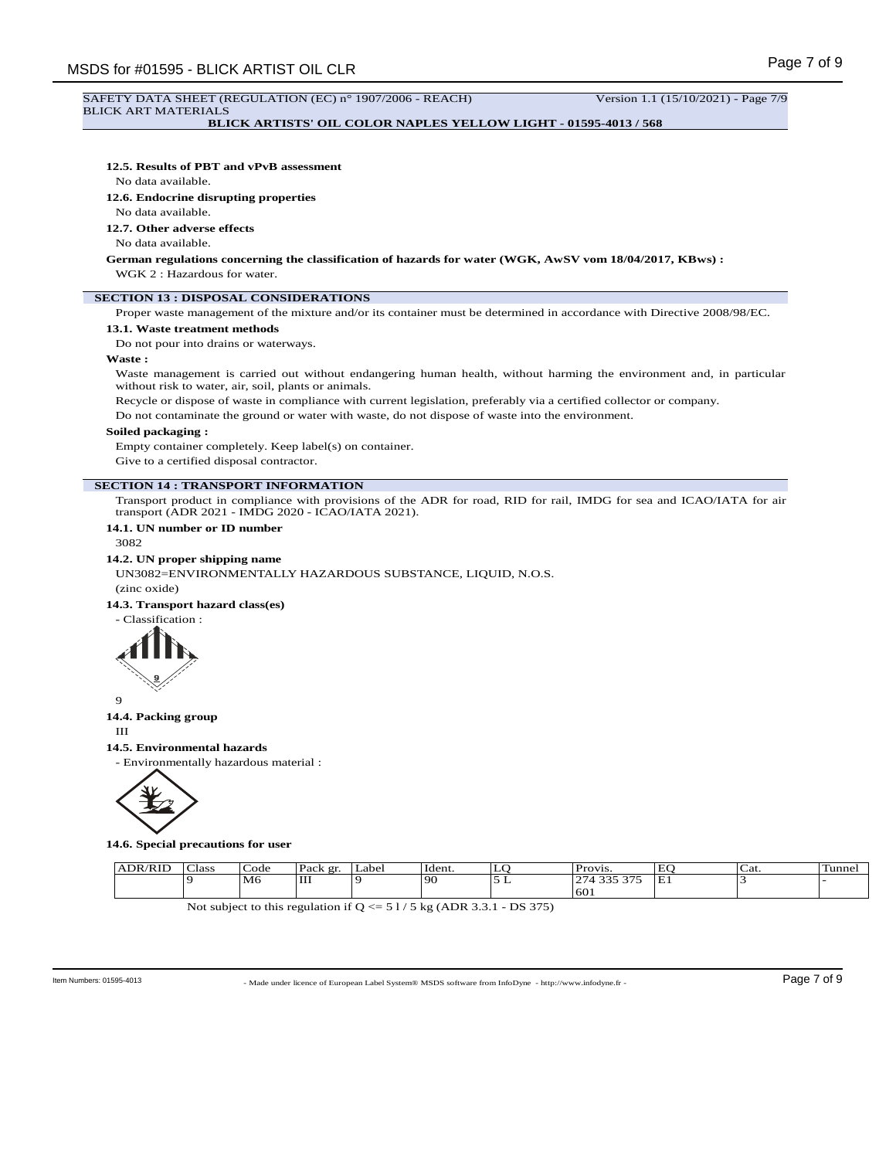# SAFETY DATA SHEET (REGULATION (EC) n° 1907/2006 - REACH) Version 1.1 (15/10/2021) - Page 7/9 BLICK ART MATERIALS

**BLICK ARTISTS' OIL COLOR NAPLES YELLOW LIGHT - 01595-4013 / 568**

## **12.5. Results of PBT and vPvB assessment**

No data available.

**12.6. Endocrine disrupting properties**

## No data available.

**12.7. Other adverse effects**

No data available.

**German regulations concerning the classification of hazards for water (WGK, AwSV vom 18/04/2017, KBws) :** WGK 2 : Hazardous for water.

# **SECTION 13 : DISPOSAL CONSIDERATIONS**

Proper waste management of the mixture and/or its container must be determined in accordance with Directive 2008/98/EC.

## **13.1. Waste treatment methods**

Do not pour into drains or waterways.

## **Waste :**

Waste management is carried out without endangering human health, without harming the environment and, in particular without risk to water, air, soil, plants or animals.

Recycle or dispose of waste in compliance with current legislation, preferably via a certified collector or company.

Do not contaminate the ground or water with waste, do not dispose of waste into the environment.

#### **Soiled packaging :**

Empty container completely. Keep label(s) on container.

Give to a certified disposal contractor.

#### **SECTION 14 : TRANSPORT INFORMATION**

Transport product in compliance with provisions of the ADR for road, RID for rail, IMDG for sea and ICAO/IATA for air transport (ADR 2021 - IMDG 2020 - ICAO/IATA 2021).

# **14.1. UN number or ID number**

3082

#### **14.2. UN proper shipping name**

UN3082=ENVIRONMENTALLY HAZARDOUS SUBSTANCE, LIQUID, N.O.S.

(zinc oxide)

## **14.3. Transport hazard class(es)**





## **14.4. Packing group**

III

#### **14.5. Environmental hazards**

- Environmentally hazardous material :



**14.6. Special precautions for user**

| T <sub>1</sub> | $\sim$<br>Class | ode. | $\mathbf{D}$ ook<br>$\alpha r$<br>acn | Label | Ident. | <u>.</u> | Provi<br>V 1.3                      | EC.<br>' سه | ' ה<br>Cai | -<br>Tunnel |
|----------------|-----------------|------|---------------------------------------|-------|--------|----------|-------------------------------------|-------------|------------|-------------|
|                |                 | M6   | IШ                                    |       | ı QC   | -<br>-   | $\sim$ $\sim$<br>$\sim$ $\sim$<br>÷ | Έl          |            |             |
|                |                 |      |                                       |       |        |          | 60                                  |             |            |             |

Not subject to this regulation if  $Q \le 51/5$  kg (ADR 3.3.1 - DS 375)

- Made under licence of European Label System® MSDS software from InfoDyne - http://www.infodyne.fr - Item Numbers: 01595-4013 Page 7 of 9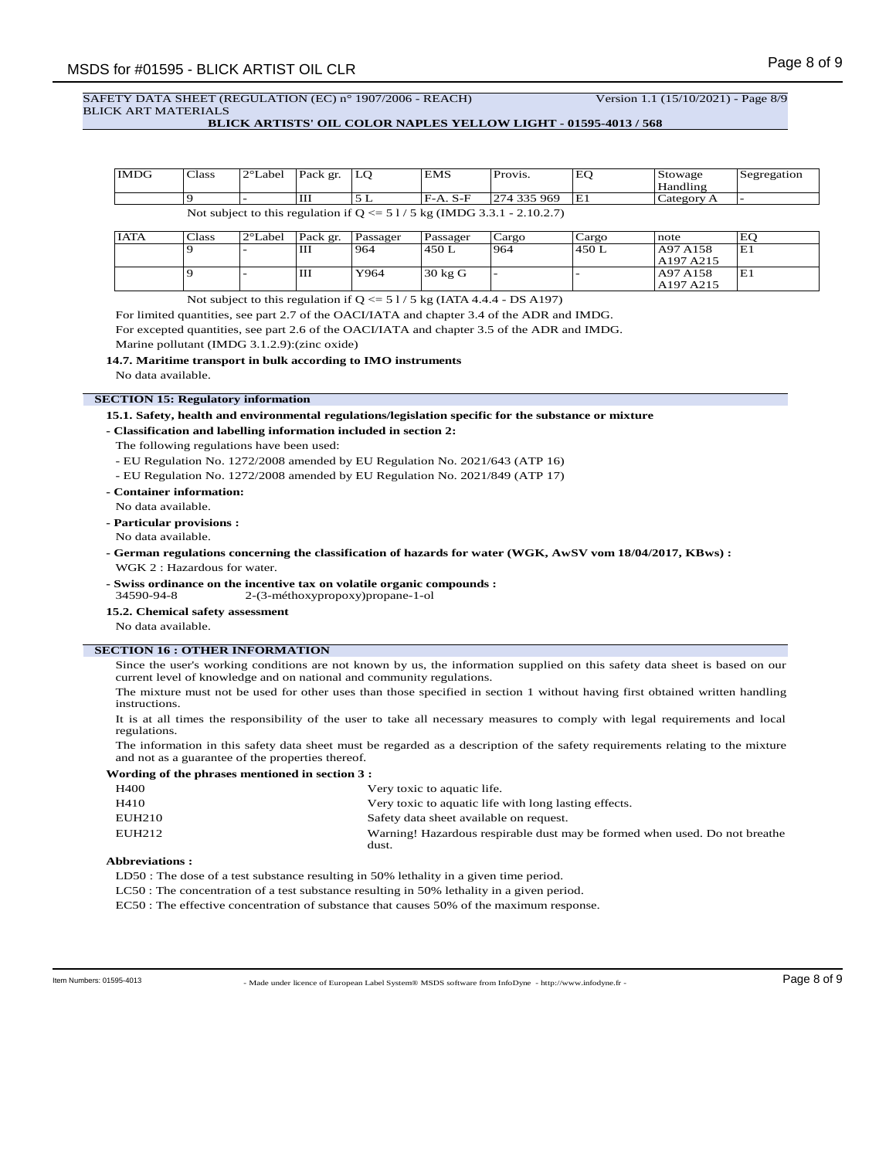# SAFETY DATA SHEET (REGULATION (EC) n° 1907/2006 - REACH) Version 1.1 (15/10/2021) - Page 8/9 BLICK ART MATERIALS

# **BLICK ARTISTS' OIL COLOR NAPLES YELLOW LIGHT - 01595-4013 / 568**

| <b>IMDG</b>                                                               | Class | $2^{\circ}$ Label | Pack gr. | LO | <b>EMS</b> | Provis.     | ιEΟ | Stowage    | Segregation |
|---------------------------------------------------------------------------|-------|-------------------|----------|----|------------|-------------|-----|------------|-------------|
|                                                                           |       |                   |          |    |            |             |     | Handling   |             |
|                                                                           |       |                   | Ш        |    | IF-A. S-F  | 274 335 969 | IE1 | Category A |             |
| Not subject to this regulation if $Q \le 51/5$ kg (IMDG 3.3.1 - 2.10.2.7) |       |                   |          |    |            |             |     |            |             |

| <b>IATA</b> | Class | $2^{\circ}$ Label | Pack gr. | l Passager | Passager          | Cargo | Cargo  | note      | EO |
|-------------|-------|-------------------|----------|------------|-------------------|-------|--------|-----------|----|
|             |       |                   | Ш        | 964        | 1450 L            | 1964  | 1450 L | A97 A158  | E1 |
|             |       |                   |          |            |                   |       |        | A197 A215 |    |
|             |       |                   | Ш        | Y964       | $30 \text{ kg}$ G | -     |        | A97 A158  | Έl |
|             |       |                   |          |            |                   |       |        | A197 A215 |    |

Not subject to this regulation if  $Q \le 51/5$  kg (IATA 4.4.4 - DS A197)

For limited quantities, see part 2.7 of the OACI/IATA and chapter 3.4 of the ADR and IMDG.

For excepted quantities, see part 2.6 of the OACI/IATA and chapter 3.5 of the ADR and IMDG.

Marine pollutant (IMDG 3.1.2.9):(zinc oxide)

**14.7. Maritime transport in bulk according to IMO instruments**

No data available.

## **SECTION 15: Regulatory information**

**15.1. Safety, health and environmental regulations/legislation specific for the substance or mixture**

**- Classification and labelling information included in section 2:**

The following regulations have been used:

- EU Regulation No. 1272/2008 amended by EU Regulation No. 2021/643 (ATP 16)

- EU Regulation No. 1272/2008 amended by EU Regulation No. 2021/849 (ATP 17)
- **Container information:**
- No data available.
- **Particular provisions :**

No data available.

- **German regulations concerning the classification of hazards for water (WGK, AwSV vom 18/04/2017, KBws) :** WGK 2 : Hazardous for water.
- **Swiss ordinance on the incentive tax on volatile organic compounds :** 34590-94-8 2-(3-méthoxypropoxy)propane-1-ol
- **15.2. Chemical safety assessment**
- No data available.

# **SECTION 16 : OTHER INFORMATION**

Since the user's working conditions are not known by us, the information supplied on this safety data sheet is based on our current level of knowledge and on national and community regulations.

The mixture must not be used for other uses than those specified in section 1 without having first obtained written handling instructions.

It is at all times the responsibility of the user to take all necessary measures to comply with legal requirements and local regulations.

The information in this safety data sheet must be regarded as a description of the safety requirements relating to the mixture and not as a guarantee of the properties thereof.

# **Wording of the phrases mentioned in section 3 :**

| <b>H400</b> | Very toxic to aquatic life.                                                         |
|-------------|-------------------------------------------------------------------------------------|
| H410        | Very toxic to aquatic life with long lasting effects.                               |
| EUH210      | Safety data sheet available on request.                                             |
| EUH212      | Warning! Hazardous respirable dust may be formed when used. Do not breathe<br>dust. |

## **Abbreviations :**

LD50 : The dose of a test substance resulting in 50% lethality in a given time period.

LC50 : The concentration of a test substance resulting in 50% lethality in a given period.

EC50 : The effective concentration of substance that causes 50% of the maximum response.

- Made under licence of European Label System® MSDS software from InfoDyne - http://www.infodyne.fr - Item Numbers: 01595-4013 Page 8 of 9